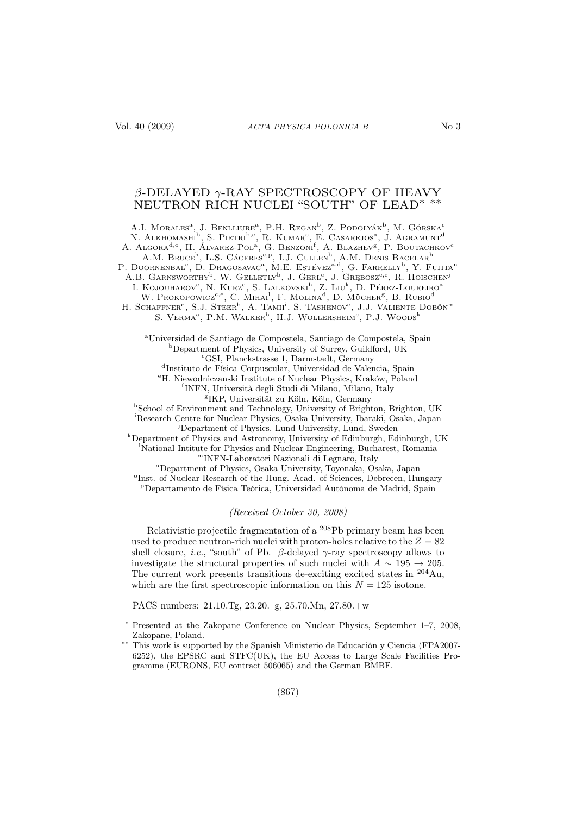# β-DELAYED γ-RAY SPECTROSCOPY OF HEAVY NEUTRON RICH NUCLEI "SOUTH" OF LEAD∗ ∗∗

A.I. MORALES<sup>a</sup>, J. BENLLIURE<sup>a</sup>, P.H. REGAN<sup>b</sup>, Z. PODOLYÁK<sup>b</sup>, M. GÓRSKA<sup>c</sup> N. Alkhomashi<sup>b</sup>, S. Pietri<sup>b,c</sup>, R. Kumar<sup>c</sup>, E. Casarejos<sup>a</sup>, J. Agramunt<sup>d</sup> A. Algora<sup>d,o</sup>, H. Álvarez-Pol<sup>a</sup>, G. Benzoni<sup>f</sup>, A. Blazhev<sup>g</sup>, P. Boutachkov<sup>c</sup> A.M. BRUCE<sup>h</sup>, L.S. Cáceres<sup>c,p</sup>, I.J. Cullen<sup>b</sup>, A.M. Denis Bacelar<sup>h</sup> P. DOORNENBAL<sup>c</sup>, D. DRAGOSAVAC<sup>a</sup>, M.E. Estévez<sup>a,d</sup>, G. FARRELLY<sup>b</sup>, Y. Fujita<sup>n</sup> A.B. GARNSWORTHY<sup>b</sup>, W. GELLETLY<sup>b</sup>, J. GERL<sup>c</sup>, J. GRĘBOSZ<sup>c,e</sup>, R. HOISCHEN<sup>j</sup> I. KOJOUHAROV<sup>c</sup>, N. Kurz<sup>c</sup>, S. Lalkovski<sup>h</sup>, Z. Liu<sup>k</sup>, D. Pérez-Loureiro<sup>a</sup> W. Prokopowicz<sup>c, e</sup>, C. Mihai<sup>1</sup>, F. Molina<sup>d</sup>, D. Mücher<sup>g</sup>, B. Rubio<sup>d</sup> H. SCHAFFNER<sup>c</sup>, S.J. Steer<sup>b</sup>, A. Tami<sup>i</sup>, S. Tashenov<sup>c</sup>, J.J. Valiente Dobón<sup>m</sup> S. VERMA<sup>a</sup>, P.M. WALKER<sup>b</sup>, H.J. WOLLERSHEIM<sup>c</sup>, P.J. WOODS<sup>k</sup> <sup>a</sup>Universidad de Santiago de Compostela, Santiago de Compostela, Spain <sup>b</sup>Department of Physics, University of Surrey, Guildford, UK

<sup>c</sup>GSI, Planckstrasse 1, Darmstadt, Germany

d Instituto de Física Corpuscular, Universidad de Valencia, Spain

<sup>e</sup>H. Niewodniczanski Institute of Nuclear Physics, Kraków, Poland

f INFN, Università degli Studi di Milano, Milano, Italy

g IKP, Universität zu Köln, Köln, Germany

h School of Environment and Technology, University of Brighton, Brighton, UK <sup>i</sup>Research Centre for Nuclear Physics, Osaka University, Ibaraki, Osaka, Japan

<sup>j</sup>Department of Physics, Lund University, Lund, Sweden

<sup>k</sup>Department of Physics and Astronomy, University of Edinburgh, Edinburgh, UK <sup>l</sup>National Intitute for Physics and Nuclear Engineering, Bucharest, Romania <sup>m</sup>INFN-Laboratori Nazionali di Legnaro, Italy

<sup>n</sup>Department of Physics, Osaka University, Toyonaka, Osaka, Japan

<sup>o</sup>Inst. of Nuclear Research of the Hung. Acad. of Sciences, Debrecen, Hungary <sup>p</sup>Departamento de Física Teórica, Universidad Autónoma de Madrid, Spain

#### (Received October 30, 2008)

Relativistic projectile fragmentation of a <sup>208</sup>Pb primary beam has been used to produce neutron-rich nuclei with proton-holes relative to the  $Z = 82$ shell closure, *i.e.*, "south" of Pb.  $\beta$ -delayed  $\gamma$ -ray spectroscopy allows to investigate the structural properties of such nuclei with  $A \sim 195 \rightarrow 205$ . The current work presents transitions de-exciting excited states in  $^{204}\mathrm{Au},$ which are the first spectroscopic information on this  $N = 125$  isotone.

PACS numbers: 21.10.Tg, 23.20.–g, 25.70.Mn, 27.80.+w

<sup>∗</sup> Presented at the Zakopane Conference on Nuclear Physics, September 1–7, 2008, Zakopane, Poland.

<sup>∗∗</sup> This work is supported by the Spanish Ministerio de Educación y Ciencia (FPA2007- 6252), the EPSRC and STFC(UK), the EU Access to Large Scale Facilities Programme (EURONS, EU contract 506065) and the German BMBF.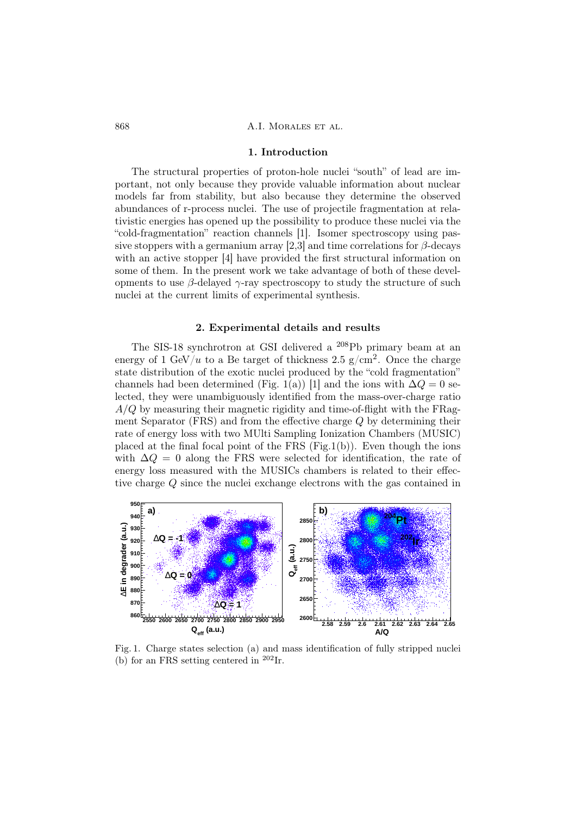### 868 A.I. MORALES ET AL.

#### 1. Introduction

The structural properties of proton-hole nuclei "south" of lead are important, not only because they provide valuable information about nuclear models far from stability, but also because they determine the observed abundances of r-process nuclei. The use of projectile fragmentation at relativistic energies has opened up the possibility to produce these nuclei via the "cold-fragmentation" reaction channels [1]. Isomer spectroscopy using passive stoppers with a germanium array [2,3] and time correlations for  $\beta$ -decays with an active stopper [4] have provided the first structural information on some of them. In the present work we take advantage of both of these developments to use  $\beta$ -delayed  $\gamma$ -ray spectroscopy to study the structure of such nuclei at the current limits of experimental synthesis.

## 2. Experimental details and results

The SIS-18 synchrotron at GSI delivered a <sup>208</sup>Pb primary beam at an energy of 1 GeV/u to a Be target of thickness 2.5 g/cm<sup>2</sup>. Once the charge state distribution of the exotic nuclei produced by the "cold fragmentation" channels had been determined (Fig. 1(a)) [1] and the ions with  $\Delta Q = 0$  selected, they were unambiguously identified from the mass-over-charge ratio  $A/Q$  by measuring their magnetic rigidity and time-of-flight with the FRagment Separator (FRS) and from the effective charge Q by determining their rate of energy loss with two MUlti Sampling Ionization Chambers (MUSIC) placed at the final focal point of the FRS  $(Fig.1(b))$ . Even though the ions with  $\Delta Q = 0$  along the FRS were selected for identification, the rate of energy loss measured with the MUSICs chambers is related to their effective charge Q since the nuclei exchange electrons with the gas contained in



Fig. 1. Charge states selection (a) and mass identification of fully stripped nuclei (b) for an FRS setting centered in  $202$ Ir.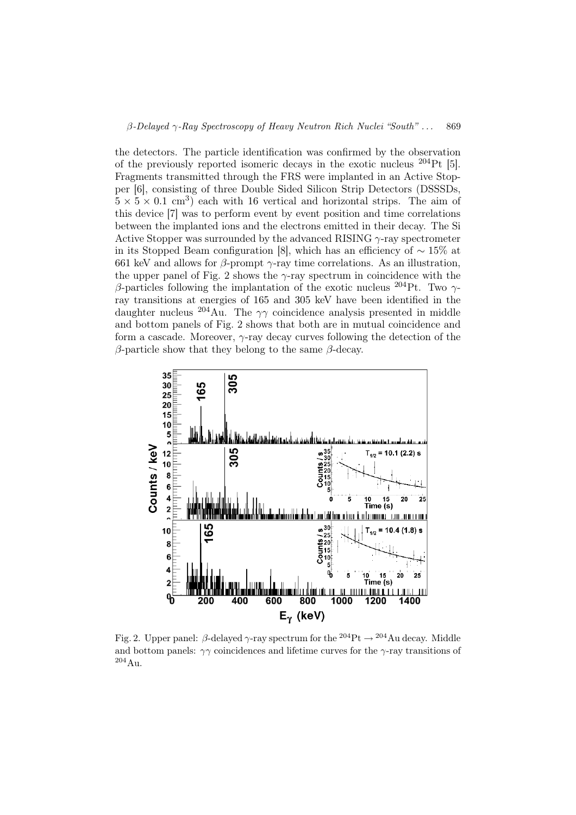the detectors. The particle identification was confirmed by the observation of the previously reported isomeric decays in the exotic nucleus <sup>204</sup>Pt [5]. Fragments transmitted through the FRS were implanted in an Active Stopper [6], consisting of three Double Sided Silicon Strip Detectors (DSSSDs,  $5 \times 5 \times 0.1$  cm<sup>3</sup>) each with 16 vertical and horizontal strips. The aim of this device [7] was to perform event by event position and time correlations between the implanted ions and the electrons emitted in their decay. The Si Active Stopper was surrounded by the advanced RISING  $\gamma$ -ray spectrometer in its Stopped Beam configuration [8], which has an efficiency of  $\sim 15\%$  at 661 keV and allows for  $\beta$ -prompt  $\gamma$ -ray time correlations. As an illustration, the upper panel of Fig. 2 shows the  $\gamma$ -ray spectrum in coincidence with the β-particles following the implantation of the exotic nucleus <sup>204</sup>Pt. Two  $γ$ ray transitions at energies of 165 and 305 keV have been identified in the daughter nucleus <sup>204</sup>Au. The  $\gamma\gamma$  coincidence analysis presented in middle and bottom panels of Fig. 2 shows that both are in mutual coincidence and form a cascade. Moreover,  $\gamma$ -ray decay curves following the detection of the β-particle show that they belong to the same β-decay.



Fig. 2. Upper panel: β-delayed  $\gamma$ -ray spectrum for the <sup>204</sup>Pt  $\rightarrow$  <sup>204</sup>Au decay. Middle and bottom panels:  $\gamma\gamma$  coincidences and lifetime curves for the  $\gamma$ -ray transitions of <sup>204</sup>Au.